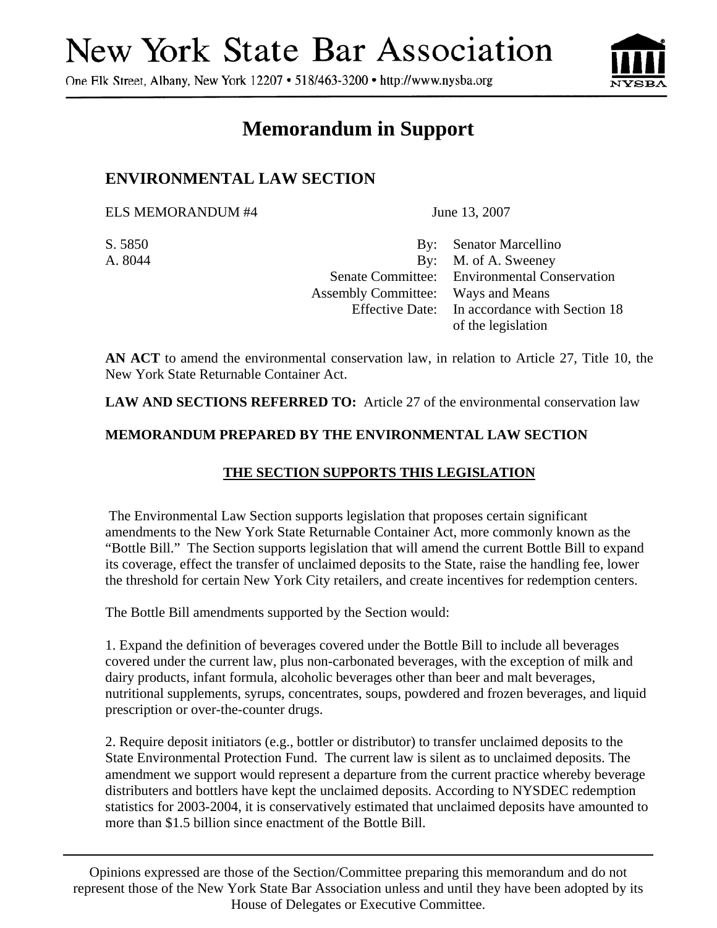# New York State Bar Association

One Elk Street, Albany, New York 12207 • 518/463-3200 • http://www.nysba.org



# **Memorandum in Support**

## **ENVIRONMENTAL LAW SECTION**

ELS MEMORANDUM #4 June 13, 2007

S. 5850 By: Senator Marcellino A. 8044 By: M. of A. Sweeney Senate Committee: Environmental Conservation Assembly Committee: Ways and Means Effective Date: In accordance with Section 18 of the legislation

**AN ACT** to amend the environmental conservation law, in relation to Article 27, Title 10, the New York State Returnable Container Act.

**LAW AND SECTIONS REFERRED TO:** Article 27 of the environmental conservation law

#### **MEMORANDUM PREPARED BY THE ENVIRONMENTAL LAW SECTION**

### **THE SECTION SUPPORTS THIS LEGISLATION**

 The Environmental Law Section supports legislation that proposes certain significant amendments to the New York State Returnable Container Act, more commonly known as the "Bottle Bill." The Section supports legislation that will amend the current Bottle Bill to expand its coverage, effect the transfer of unclaimed deposits to the State, raise the handling fee, lower the threshold for certain New York City retailers, and create incentives for redemption centers.

The Bottle Bill amendments supported by the Section would:

1. Expand the definition of beverages covered under the Bottle Bill to include all beverages covered under the current law, plus non-carbonated beverages, with the exception of milk and dairy products, infant formula, alcoholic beverages other than beer and malt beverages, nutritional supplements, syrups, concentrates, soups, powdered and frozen beverages, and liquid prescription or over-the-counter drugs.

2. Require deposit initiators (e.g., bottler or distributor) to transfer unclaimed deposits to the State Environmental Protection Fund. The current law is silent as to unclaimed deposits. The amendment we support would represent a departure from the current practice whereby beverage distributers and bottlers have kept the unclaimed deposits. According to NYSDEC redemption statistics for 2003-2004, it is conservatively estimated that unclaimed deposits have amounted to more than \$1.5 billion since enactment of the Bottle Bill.

Opinions expressed are those of the Section/Committee preparing this memorandum and do not represent those of the New York State Bar Association unless and until they have been adopted by its House of Delegates or Executive Committee.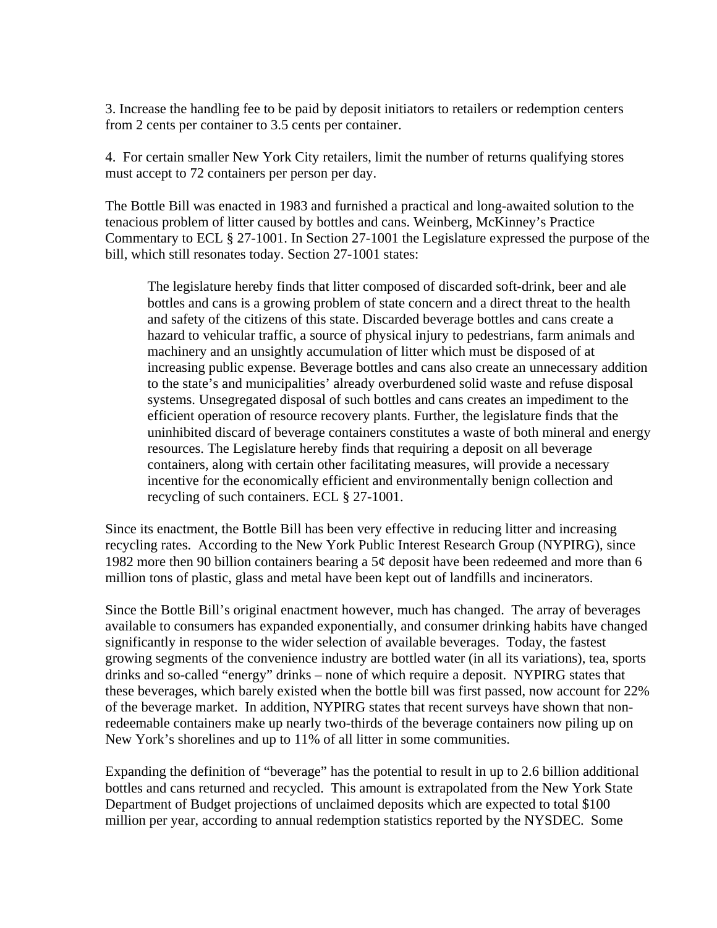3. Increase the handling fee to be paid by deposit initiators to retailers or redemption centers from 2 cents per container to 3.5 cents per container.

4. For certain smaller New York City retailers, limit the number of returns qualifying stores must accept to 72 containers per person per day.

The Bottle Bill was enacted in 1983 and furnished a practical and long-awaited solution to the tenacious problem of litter caused by bottles and cans. Weinberg, McKinney's Practice Commentary to ECL § 27-1001. In Section 27-1001 the Legislature expressed the purpose of the bill, which still resonates today. Section 27-1001 states:

The legislature hereby finds that litter composed of discarded soft-drink, beer and ale bottles and cans is a growing problem of state concern and a direct threat to the health and safety of the citizens of this state. Discarded beverage bottles and cans create a hazard to vehicular traffic, a source of physical injury to pedestrians, farm animals and machinery and an unsightly accumulation of litter which must be disposed of at increasing public expense. Beverage bottles and cans also create an unnecessary addition to the state's and municipalities' already overburdened solid waste and refuse disposal systems. Unsegregated disposal of such bottles and cans creates an impediment to the efficient operation of resource recovery plants. Further, the legislature finds that the uninhibited discard of beverage containers constitutes a waste of both mineral and energy resources. The Legislature hereby finds that requiring a deposit on all beverage containers, along with certain other facilitating measures, will provide a necessary incentive for the economically efficient and environmentally benign collection and recycling of such containers. ECL § 27-1001.

Since its enactment, the Bottle Bill has been very effective in reducing litter and increasing recycling rates. According to the New York Public Interest Research Group (NYPIRG), since 1982 more then 90 billion containers bearing a 5¢ deposit have been redeemed and more than 6 million tons of plastic, glass and metal have been kept out of landfills and incinerators.

Since the Bottle Bill's original enactment however, much has changed. The array of beverages available to consumers has expanded exponentially, and consumer drinking habits have changed significantly in response to the wider selection of available beverages. Today, the fastest growing segments of the convenience industry are bottled water (in all its variations), tea, sports drinks and so-called "energy" drinks – none of which require a deposit. NYPIRG states that these beverages, which barely existed when the bottle bill was first passed, now account for 22% of the beverage market. In addition, NYPIRG states that recent surveys have shown that nonredeemable containers make up nearly two-thirds of the beverage containers now piling up on New York's shorelines and up to 11% of all litter in some communities.

Expanding the definition of "beverage" has the potential to result in up to 2.6 billion additional bottles and cans returned and recycled. This amount is extrapolated from the New York State Department of Budget projections of unclaimed deposits which are expected to total \$100 million per year, according to annual redemption statistics reported by the NYSDEC. Some